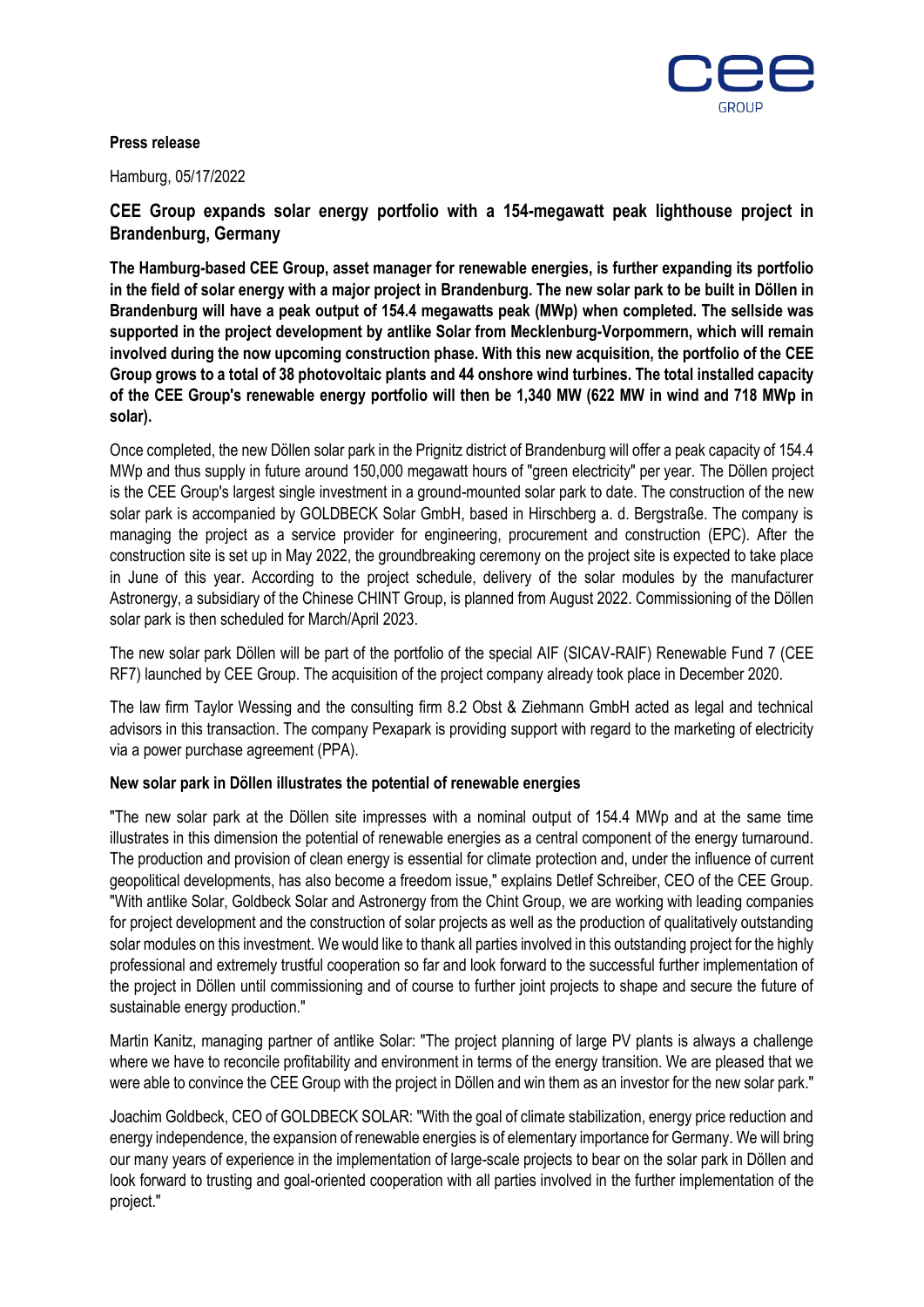

### **Press release**

Hamburg, 05/17/2022

**CEE Group expands solar energy portfolio with a 154-megawatt peak lighthouse project in Brandenburg, Germany**

**The Hamburg-based CEE Group, asset manager for renewable energies, is further expanding its portfolio in the field of solar energy with a major project in Brandenburg. The new solar park to be built in Döllen in Brandenburg will have a peak output of 154.4 megawatts peak (MWp) when completed. The sellside was supported in the project development by antlike Solar from Mecklenburg-Vorpommern, which will remain involved during the now upcoming construction phase. With this new acquisition, the portfolio of the CEE Group grows to a total of 38 photovoltaic plants and 44 onshore wind turbines. The total installed capacity of the CEE Group's renewable energy portfolio will then be 1,340 MW (622 MW in wind and 718 MWp in solar).**

Once completed, the new Döllen solar park in the Prignitz district of Brandenburg will offer a peak capacity of 154.4 MWp and thus supply in future around 150,000 megawatt hours of "green electricity" per year. The Döllen project is the CEE Group's largest single investment in a ground-mounted solar park to date. The construction of the new solar park is accompanied by GOLDBECK Solar GmbH, based in Hirschberg a. d. Bergstraße. The company is managing the project as a service provider for engineering, procurement and construction (EPC). After the construction site is set up in May 2022, the groundbreaking ceremony on the project site is expected to take place in June of this year. According to the project schedule, delivery of the solar modules by the manufacturer Astronergy, a subsidiary of the Chinese CHINT Group, is planned from August 2022. Commissioning of the Döllen solar park is then scheduled for March/April 2023.

The new solar park Döllen will be part of the portfolio of the special AIF (SICAV-RAIF) Renewable Fund 7 (CEE RF7) launched by CEE Group. The acquisition of the project company already took place in December 2020.

The law firm Taylor Wessing and the consulting firm 8.2 Obst & Ziehmann GmbH acted as legal and technical advisors in this transaction. The company Pexapark is providing support with regard to the marketing of electricity via a power purchase agreement (PPA).

# **New solar park in Döllen illustrates the potential of renewable energies**

"The new solar park at the Döllen site impresses with a nominal output of 154.4 MWp and at the same time illustrates in this dimension the potential of renewable energies as a central component of the energy turnaround. The production and provision of clean energy is essential for climate protection and, under the influence of current geopolitical developments, has also become a freedom issue," explains Detlef Schreiber, CEO of the CEE Group. "With antlike Solar, Goldbeck Solar and Astronergy from the Chint Group, we are working with leading companies for project development and the construction of solar projects as well as the production of qualitatively outstanding solar modules on this investment. We would like to thank all parties involved in this outstanding project for the highly professional and extremely trustful cooperation so far and look forward to the successful further implementation of the project in Döllen until commissioning and of course to further joint projects to shape and secure the future of sustainable energy production."

Martin Kanitz, managing partner of antlike Solar: "The project planning of large PV plants is always a challenge where we have to reconcile profitability and environment in terms of the energy transition. We are pleased that we were able to convince the CEE Group with the project in Döllen and win them as an investor for the new solar park."

Joachim Goldbeck, CEO of GOLDBECK SOLAR: "With the goal of climate stabilization, energy price reduction and energy independence, the expansion of renewable energies is of elementary importance for Germany. We will bring our many years of experience in the implementation of large-scale projects to bear on the solar park in Döllen and look forward to trusting and goal-oriented cooperation with all parties involved in the further implementation of the project."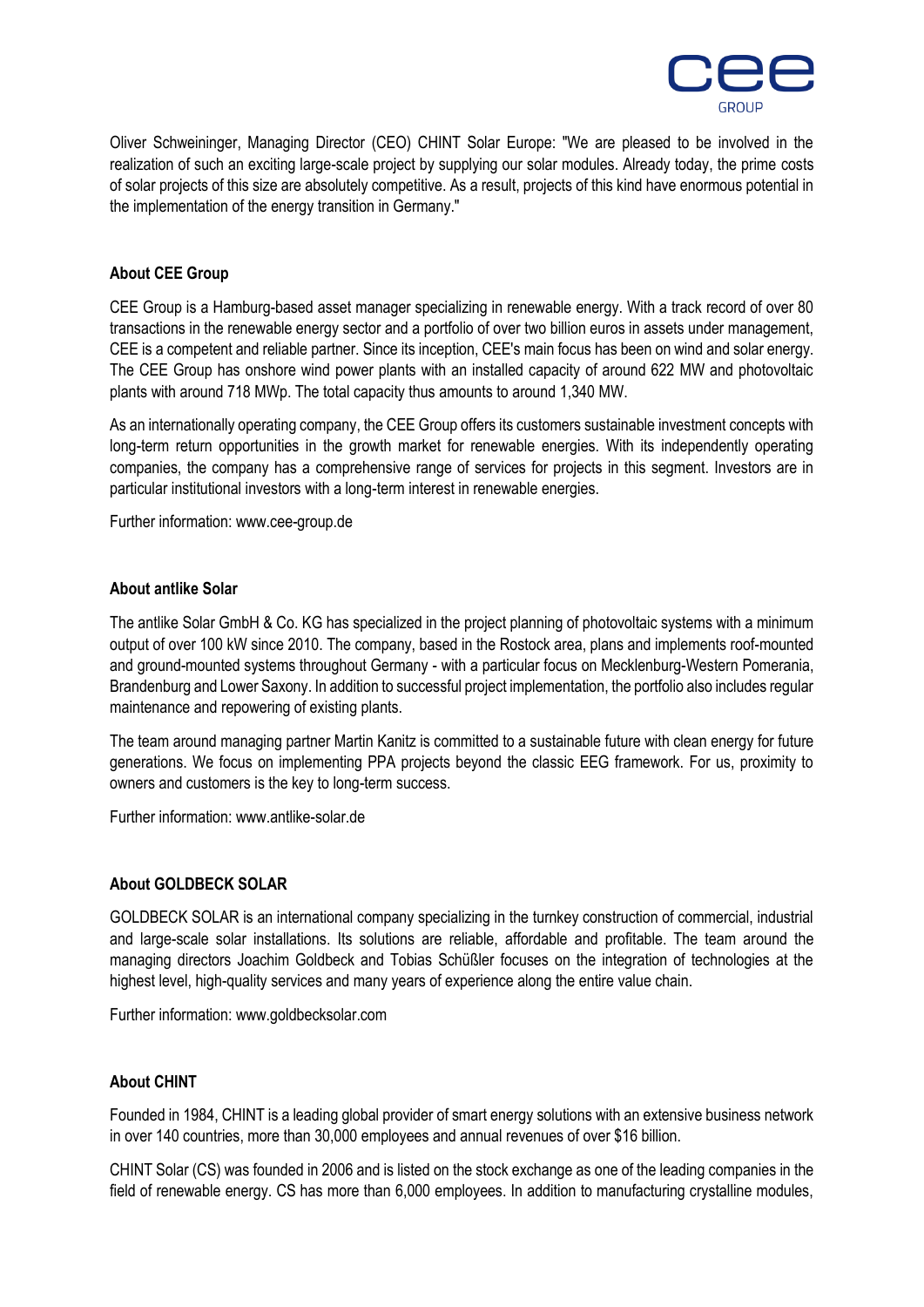

Oliver Schweininger, Managing Director (CEO) CHINT Solar Europe: "We are pleased to be involved in the realization of such an exciting large-scale project by supplying our solar modules. Already today, the prime costs of solar projects of this size are absolutely competitive. As a result, projects of this kind have enormous potential in the implementation of the energy transition in Germany."

# **About CEE Group**

CEE Group is a Hamburg-based asset manager specializing in renewable energy. With a track record of over 80 transactions in the renewable energy sector and a portfolio of over two billion euros in assets under management, CEE is a competent and reliable partner. Since its inception, CEE's main focus has been on wind and solar energy. The CEE Group has onshore wind power plants with an installed capacity of around 622 MW and photovoltaic plants with around 718 MWp. The total capacity thus amounts to around 1,340 MW.

As an internationally operating company, the CEE Group offers its customers sustainable investment concepts with long-term return opportunities in the growth market for renewable energies. With its independently operating companies, the company has a comprehensive range of services for projects in this segment. Investors are in particular institutional investors with a long-term interest in renewable energies.

Further information: www.cee-group.de

#### **About antlike Solar**

The antlike Solar GmbH & Co. KG has specialized in the project planning of photovoltaic systems with a minimum output of over 100 kW since 2010. The company, based in the Rostock area, plans and implements roof-mounted and ground-mounted systems throughout Germany - with a particular focus on Mecklenburg-Western Pomerania, Brandenburg and Lower Saxony. In addition to successful project implementation, the portfolio also includes regular maintenance and repowering of existing plants.

The team around managing partner Martin Kanitz is committed to a sustainable future with clean energy for future generations. We focus on implementing PPA projects beyond the classic EEG framework. For us, proximity to owners and customers is the key to long-term success.

Further information: www.antlike-solar.de

#### **About GOLDBECK SOLAR**

GOLDBECK SOLAR is an international company specializing in the turnkey construction of commercial, industrial and large-scale solar installations. Its solutions are reliable, affordable and profitable. The team around the managing directors Joachim Goldbeck and Tobias Schüßler focuses on the integration of technologies at the highest level, high-quality services and many years of experience along the entire value chain.

Further information: www.goldbecksolar.com

#### **About CHINT**

Founded in 1984, CHINT is a leading global provider of smart energy solutions with an extensive business network in over 140 countries, more than 30,000 employees and annual revenues of over \$16 billion.

CHINT Solar (CS) was founded in 2006 and is listed on the stock exchange as one of the leading companies in the field of renewable energy. CS has more than 6,000 employees. In addition to manufacturing crystalline modules,